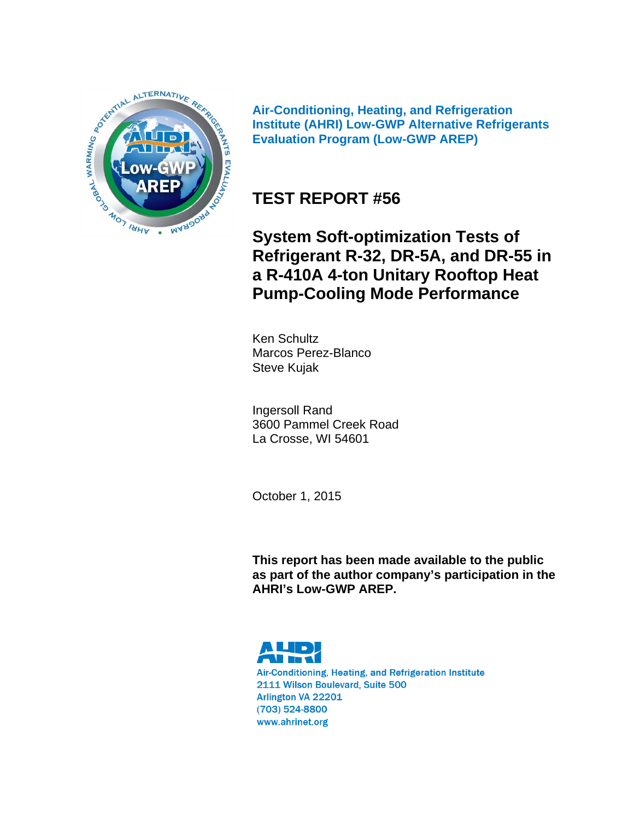

**Air-Conditioning, Heating, and Refrigeration Institute (AHRI) Low-GWP Alternative Refrigerants Evaluation Program (Low-GWP AREP)** 

# **TEST REPORT #56**

**System Soft-optimization Tests of Refrigerant R-32, DR-5A, and DR-55 in a R-410A 4-ton Unitary Rooftop Heat Pump-Cooling Mode Performance**

Ken Schultz Marcos Perez-Blanco Steve Kujak

Ingersoll Rand 3600 Pammel Creek Road La Crosse, WI 54601

October 1, 2015

**This report has been made available to the public as part of the author company's participation in the AHRI's Low-GWP AREP.** 



Air-Conditioning, Heating, and Refrigeration Institute 2111 Wilson Boulevard, Suite 500 Arlington VA 22201  $(703)$  524-8800 www.ahrinet.org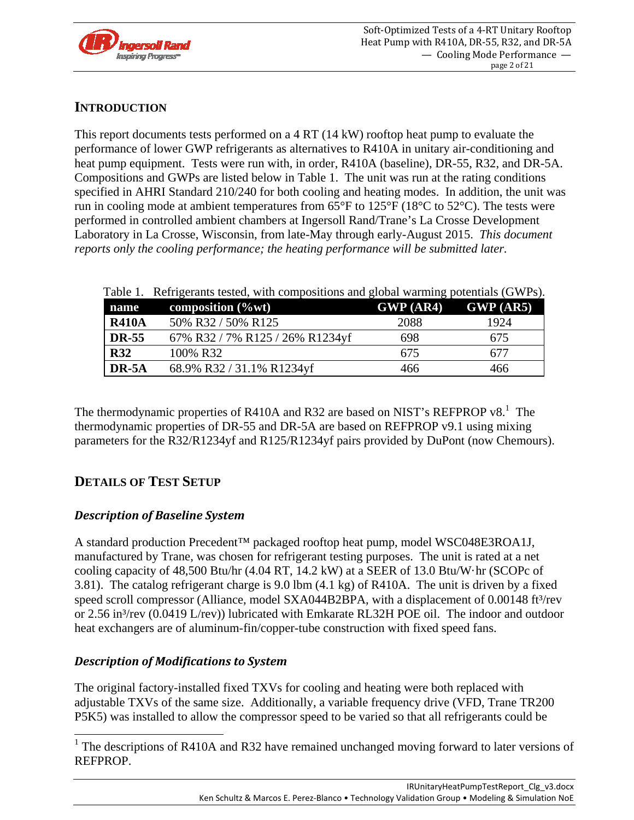

# **INTRODUCTION**

This report documents tests performed on a 4 RT (14 kW) rooftop heat pump to evaluate the performance of lower GWP refrigerants as alternatives to R410A in unitary air-conditioning and heat pump equipment. Tests were run with, in order, R410A (baseline), DR-55, R32, and DR-5A. Compositions and GWPs are listed below in Table 1. The unit was run at the rating conditions specified in AHRI Standard 210/240 for both cooling and heating modes. In addition, the unit was run in cooling mode at ambient temperatures from 65°F to 125°F (18°C to 52°C). The tests were performed in controlled ambient chambers at Ingersoll Rand/Trane's La Crosse Development Laboratory in La Crosse, Wisconsin, from late-May through early-August 2015. *This document reports only the cooling performance; the heating performance will be submitted later.*

|              | Table 1. Refrigerants tested, with compositions and global warming potentials (GWPs). |                         |      |
|--------------|---------------------------------------------------------------------------------------|-------------------------|------|
| name         | composition $(\%$ wt)                                                                 | $GWP (AR4)$ $GWP (AR5)$ |      |
| <b>R410A</b> | 50% R32 / 50% R125                                                                    | 2088                    | 1924 |
| <b>DR-55</b> | 67% R32 / 7% R125 / 26% R1234yf                                                       | 698                     | 675  |
| <b>R32</b>   | 100% R32                                                                              | 675                     | 677  |
| DR-5A        | 68.9% R32 / 31.1% R1234yf                                                             | 466                     | 466  |

The thermodynamic properties of R410A and R32 are based on NIST's REFPROP  $v8$ .<sup>1</sup> The thermodynamic properties of DR-55 and DR-5A are based on REFPROP v9.1 using mixing parameters for the R32/R1234yf and R125/R1234yf pairs provided by DuPont (now Chemours).

# **DETAILS OF TEST SETUP**

# *Description of Baseline System*

A standard production Precedent™ packaged rooftop heat pump, model WSC048E3ROA1J, manufactured by Trane, was chosen for refrigerant testing purposes. The unit is rated at a net cooling capacity of 48,500 Btu/hr (4.04 RT, 14.2 kW) at a SEER of 13.0 Btu/W·hr (SCOPc of 3.81). The catalog refrigerant charge is 9.0 lbm (4.1 kg) of R410A. The unit is driven by a fixed speed scroll compressor (Alliance, model SXA044B2BPA, with a displacement of  $0.00148$  ft<sup>3</sup>/rev or 2.56 in<sup>3</sup>/rev (0.0419 L/rev)) lubricated with Emkarate RL32H POE oil. The indoor and outdoor heat exchangers are of aluminum-fin/copper-tube construction with fixed speed fans.

# *Description of Modifications to System*

The original factory-installed fixed TXVs for cooling and heating were both replaced with adjustable TXVs of the same size. Additionally, a variable frequency drive (VFD, Trane TR200 P5K5) was installed to allow the compressor speed to be varied so that all refrigerants could be

<sup>&</sup>lt;sup>1</sup> The descriptions of R410A and R32 have remained unchanged moving forward to later versions of REFPROP.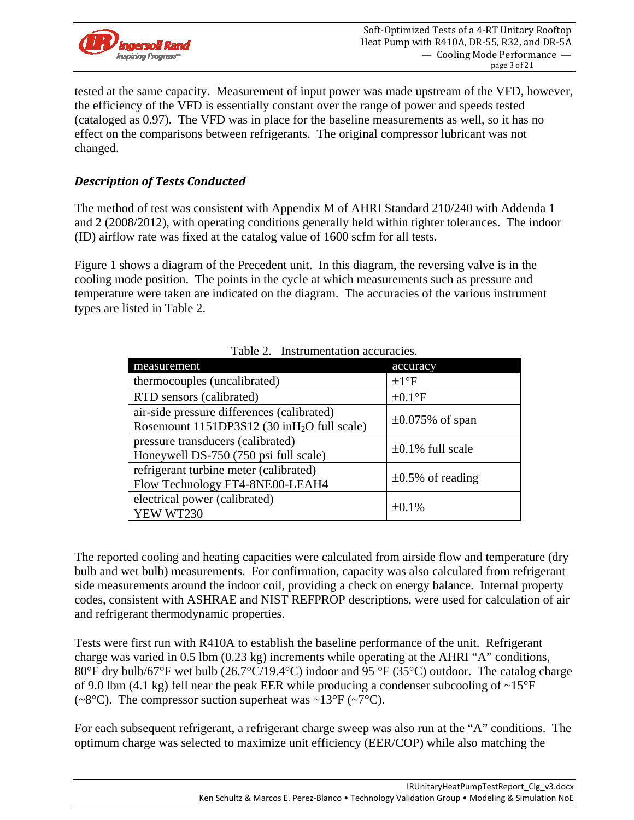

tested at the same capacity. Measurement of input power was made upstream of the VFD, however, the efficiency of the VFD is essentially constant over the range of power and speeds tested (cataloged as 0.97). The VFD was in place for the baseline measurements as well, so it has no effect on the comparisons between refrigerants. The original compressor lubricant was not changed.

# *Description of Tests Conducted*

The method of test was consistent with Appendix M of AHRI Standard 210/240 with Addenda 1 and 2 (2008/2012), with operating conditions generally held within tighter tolerances. The indoor (ID) airflow rate was fixed at the catalog value of 1600 scfm for all tests.

Figure 1 shows a diagram of the Precedent unit. In this diagram, the reversing valve is in the cooling mode position. The points in the cycle at which measurements such as pressure and temperature were taken are indicated on the diagram. The accuracies of the various instrument types are listed in Table 2.

| measurement                                                                                           | accuracy               |
|-------------------------------------------------------------------------------------------------------|------------------------|
| thermocouples (uncalibrated)                                                                          | $\pm 1$ <sup>o</sup> F |
| RTD sensors (calibrated)                                                                              | $\pm 0.1$ °F           |
| air-side pressure differences (calibrated)<br>Rosemount 1151DP3S12 (30 inH <sub>2</sub> O full scale) | $\pm 0.075\%$ of span  |
| pressure transducers (calibrated)<br>Honeywell DS-750 (750 psi full scale)                            | $\pm 0.1\%$ full scale |
| refrigerant turbine meter (calibrated)<br>Flow Technology FT4-8NE00-LEAH4                             | $\pm 0.5\%$ of reading |
| electrical power (calibrated)<br>YEW WT230                                                            | $+0.1\%$               |

| Table 2. Instrumentation accuracies. |  |
|--------------------------------------|--|
|                                      |  |

The reported cooling and heating capacities were calculated from airside flow and temperature (dry bulb and wet bulb) measurements. For confirmation, capacity was also calculated from refrigerant side measurements around the indoor coil, providing a check on energy balance. Internal property codes, consistent with ASHRAE and NIST REFPROP descriptions, were used for calculation of air and refrigerant thermodynamic properties.

Tests were first run with R410A to establish the baseline performance of the unit. Refrigerant charge was varied in 0.5 lbm (0.23 kg) increments while operating at the AHRI "A" conditions, 80°F dry bulb/67°F wet bulb (26.7°C/19.4°C) indoor and 95 °F (35°C) outdoor. The catalog charge of 9.0 lbm (4.1 kg) fell near the peak EER while producing a condenser subcooling of ~15°F (~8 $\degree$ C). The compressor suction superheat was ~13 $\degree$ F (~7 $\degree$ C).

For each subsequent refrigerant, a refrigerant charge sweep was also run at the "A" conditions. The optimum charge was selected to maximize unit efficiency (EER/COP) while also matching the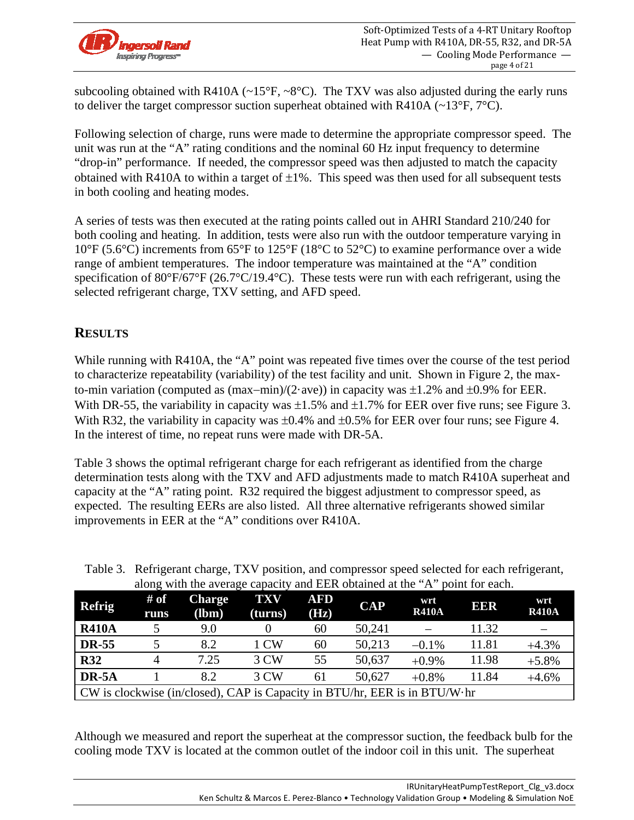

subcooling obtained with R410A ( $\sim$ 15°F,  $\sim$ 8°C). The TXV was also adjusted during the early runs to deliver the target compressor suction superheat obtained with R410A ( $\sim$ 13°F, 7°C).

Following selection of charge, runs were made to determine the appropriate compressor speed. The unit was run at the "A" rating conditions and the nominal 60 Hz input frequency to determine "drop-in" performance. If needed, the compressor speed was then adjusted to match the capacity obtained with R410A to within a target of  $\pm 1\%$ . This speed was then used for all subsequent tests in both cooling and heating modes.

A series of tests was then executed at the rating points called out in AHRI Standard 210/240 for both cooling and heating. In addition, tests were also run with the outdoor temperature varying in 10°F (5.6°C) increments from 65°F to 125°F (18°C to 52°C) to examine performance over a wide range of ambient temperatures. The indoor temperature was maintained at the "A" condition specification of 80°F/67°F (26.7°C/19.4°C). These tests were run with each refrigerant, using the selected refrigerant charge, TXV setting, and AFD speed.

# **RESULTS**

While running with R410A, the "A" point was repeated five times over the course of the test period to characterize repeatability (variability) of the test facility and unit. Shown in Figure 2, the maxto-min variation (computed as  $(\text{max-min})/(2 \cdot \text{ave})$ ) in capacity was  $\pm 1.2\%$  and  $\pm 0.9\%$  for EER. With DR-55, the variability in capacity was  $\pm 1.5\%$  and  $\pm 1.7\%$  for EER over five runs; see Figure 3. With R32, the variability in capacity was  $\pm 0.4\%$  and  $\pm 0.5\%$  for EER over four runs; see Figure 4. In the interest of time, no repeat runs were made with DR-5A.

Table 3 shows the optimal refrigerant charge for each refrigerant as identified from the charge determination tests along with the TXV and AFD adjustments made to match R410A superheat and capacity at the "A" rating point. R32 required the biggest adjustment to compressor speed, as expected. The resulting EERs are also listed. All three alternative refrigerants showed similar improvements in EER at the "A" conditions over R410A.

|               |              | along with the average capacity and EER obtained at the A                  |                       |                    |           |                     | <b>DOMIT TOT CACH.</b> |                     |
|---------------|--------------|----------------------------------------------------------------------------|-----------------------|--------------------|-----------|---------------------|------------------------|---------------------|
| <b>Refrig</b> | # of<br>runs | <b>Charge</b><br>(lbm)                                                     | <b>TXV</b><br>(turns) | <b>AFD</b><br>(Hz) | $\bf CAP$ | wrt<br><b>R410A</b> | EER                    | wrt<br><b>R410A</b> |
| <b>R410A</b>  |              | 9.0                                                                        |                       | 60                 | 50,241    |                     | 11.32                  |                     |
| <b>DR-55</b>  |              | 8.2                                                                        | 1 CW                  | 60                 | 50,213    | $-0.1\%$            | 11.81                  | $+4.3%$             |
| <b>R32</b>    |              | 7.25                                                                       | 3 CW                  | 55                 | 50,637    | $+0.9\%$            | 11.98                  | $+5.8%$             |
| $DR-5A$       |              | 8.2                                                                        | 3 CW                  | 61                 | 50,627    | $+0.8\%$            | 11.84                  | $+4.6%$             |
|               |              | CW is clockwise (in/closed), CAP is Capacity in BTU/hr, EER is in BTU/W·hr |                       |                    |           |                     |                        |                     |

Table 3. Refrigerant charge, TXV position, and compressor speed selected for each refrigerant, along with the average capacity and EER obtained at the "A" point for each.

Although we measured and report the superheat at the compressor suction, the feedback bulb for the cooling mode TXV is located at the common outlet of the indoor coil in this unit. The superheat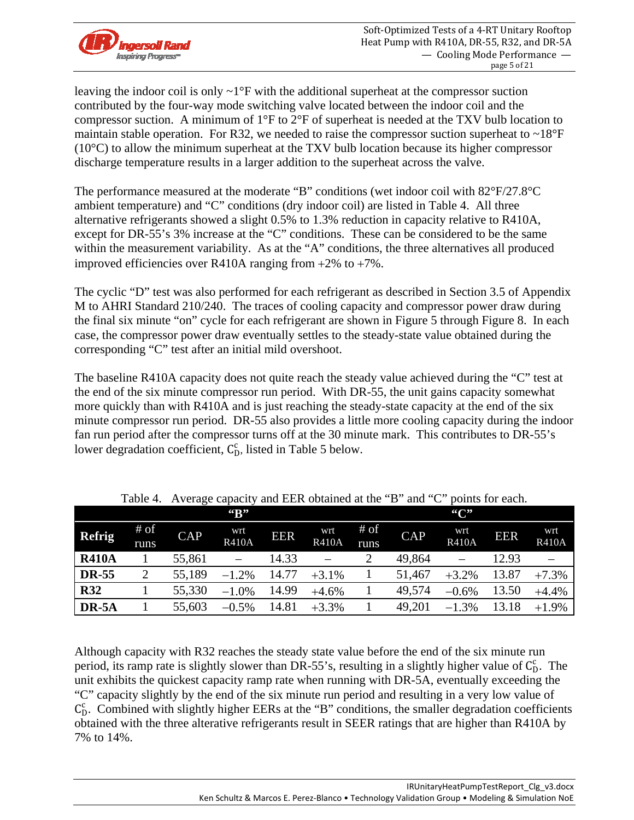

leaving the indoor coil is only  $\sim 1^{\circ}$ F with the additional superheat at the compressor suction contributed by the four-way mode switching valve located between the indoor coil and the compressor suction. A minimum of 1°F to 2°F of superheat is needed at the TXV bulb location to maintain stable operation. For R32, we needed to raise the compressor suction superheat to  $\sim 18^{\circ}F$ (10°C) to allow the minimum superheat at the TXV bulb location because its higher compressor discharge temperature results in a larger addition to the superheat across the valve.

The performance measured at the moderate "B" conditions (wet indoor coil with 82°F/27.8°C ambient temperature) and "C" conditions (dry indoor coil) are listed in Table 4. All three alternative refrigerants showed a slight 0.5% to 1.3% reduction in capacity relative to R410A, except for DR-55's 3% increase at the "C" conditions. These can be considered to be the same within the measurement variability. As at the "A" conditions, the three alternatives all produced improved efficiencies over R410A ranging from  $+2\%$  to  $+7\%$ .

The cyclic "D" test was also performed for each refrigerant as described in Section 3.5 of Appendix M to AHRI Standard 210/240. The traces of cooling capacity and compressor power draw during the final six minute "on" cycle for each refrigerant are shown in Figure 5 through Figure 8. In each case, the compressor power draw eventually settles to the steady-state value obtained during the corresponding "C" test after an initial mild overshoot.

The baseline R410A capacity does not quite reach the steady value achieved during the "C" test at the end of the six minute compressor run period. With DR-55, the unit gains capacity somewhat more quickly than with R410A and is just reaching the steady-state capacity at the end of the six minute compressor run period. DR-55 also provides a little more cooling capacity during the indoor fan run period after the compressor turns off at the 30 minute mark. This contributes to DR-55's lower degradation coefficient,  $C_{D}^{c}$ , listed in Table 5 below.

|               |                | raore : <i>Trouge</i> eapacity |                          |            | and <b>ELIX</b> columned at the <b>B</b> |              | .          | ~                   | DOMINI 101 CUCII. |                     |
|---------------|----------------|--------------------------------|--------------------------|------------|------------------------------------------|--------------|------------|---------------------|-------------------|---------------------|
|               |                |                                | $G_{\rm B}$              |            |                                          |              |            | ``C"                |                   |                     |
| <b>Refrig</b> | $#$ of<br>runs | <b>CAP</b>                     | wrt<br><b>R410A</b>      | <b>EER</b> | wrt<br><b>R410A</b>                      | # of<br>runs | <b>CAP</b> | wrt<br><b>R410A</b> | <b>EER</b>        | wrt<br><b>R410A</b> |
| <b>R410A</b>  |                | 55,861                         | $\overline{\phantom{0}}$ | 14.33      |                                          |              | 49,864     |                     | 12.93             |                     |
| <b>DR-55</b>  | 2              | 55,189                         | $-1.2%$                  | 14.77      | $+3.1%$                                  |              | 51,467     | $+3.2%$             | 13.87             | $+7.3%$             |
| <b>R32</b>    |                | 55,330                         | $-1.0%$                  | 14.99      | $+4.6%$                                  |              | 49,574     | $-0.6%$             | 13.50             | $+4.4%$             |
| DR-5A         |                | 55,603                         | $-0.5%$                  | 14.81      | $+3.3%$                                  |              | 49,201     | $-1.3%$             | 13.18             | $+1.9%$             |

Table 4. Average capacity and EER obtained at the "B" and "C" points for each.

Although capacity with R32 reaches the steady state value before the end of the six minute run period, its ramp rate is slightly slower than DR-55's, resulting in a slightly higher value of  $C_D^c$ . The unit exhibits the quickest capacity ramp rate when running with DR-5A, eventually exceeding the "C" capacity slightly by the end of the six minute run period and resulting in a very low value of C<sub>D</sub>. Combined with slightly higher EERs at the "B" conditions, the smaller degradation coefficients obtained with the three alterative refrigerants result in SEER ratings that are higher than R410A by 7% to 14%.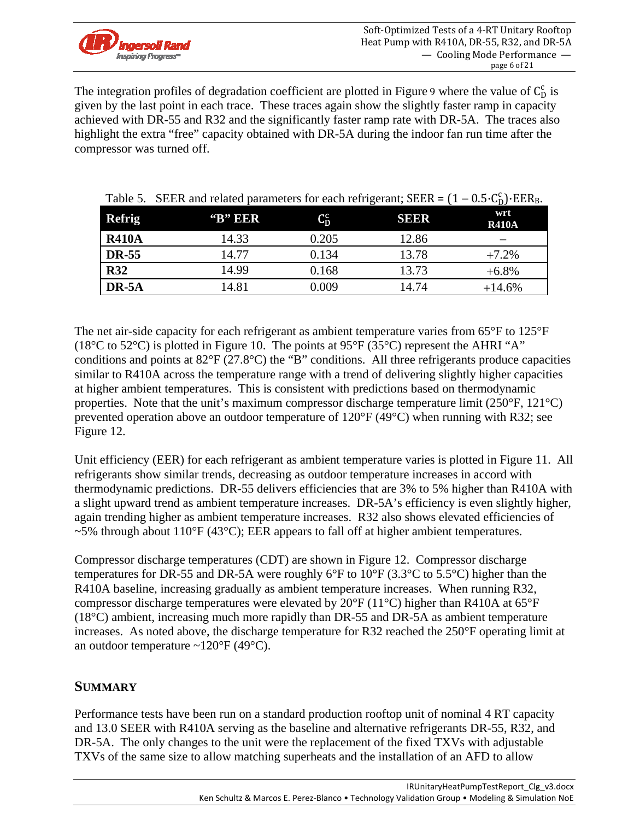

The integration profiles of degradation coefficient are plotted in Figure 9 where the value of  $C_D^c$  is given by the last point in each trace. These traces again show the slightly faster ramp in capacity achieved with DR-55 and R32 and the significantly faster ramp rate with DR-5A. The traces also highlight the extra "free" capacity obtained with DR-5A during the indoor fan run time after the compressor was turned off.

| <b>Refrig</b> | $\rm 'B'$ EER | $C_{\mathrm{D}}^{\mathrm{c}}$ | <b>SEER</b> | wrt<br><b>R410A</b> |
|---------------|---------------|-------------------------------|-------------|---------------------|
| <b>R410A</b>  | 14.33         | 0.205                         | 12.86       |                     |
| <b>DR-55</b>  | 14.77         | 0.134                         | 13.78       | $+7.2%$             |
| <b>R32</b>    | 14.99         | 0.168                         | 13.73       | $+6.8\%$            |
| DR-5A         | 14.81         | 0.009                         | 14.74       | $+14.6%$            |

Table 5. SEER and related parameters for each refrigerant; SEER =  $(1 - 0.5 \cdot C_D^c)$ ·EER<sub>B</sub>.

The net air-side capacity for each refrigerant as ambient temperature varies from 65°F to 125°F (18 $\rm{°C}$  to 52 $\rm{°C}$ ) is plotted in Figure 10. The points at 95 $\rm{°F}$  (35 $\rm{°C}$ ) represent the AHRI "A" conditions and points at 82°F (27.8°C) the "B" conditions. All three refrigerants produce capacities similar to R410A across the temperature range with a trend of delivering slightly higher capacities at higher ambient temperatures. This is consistent with predictions based on thermodynamic properties. Note that the unit's maximum compressor discharge temperature limit (250°F, 121°C) prevented operation above an outdoor temperature of 120°F (49°C) when running with R32; see Figure 12.

Unit efficiency (EER) for each refrigerant as ambient temperature varies is plotted in Figure 11. All refrigerants show similar trends, decreasing as outdoor temperature increases in accord with thermodynamic predictions. DR-55 delivers efficiencies that are 3% to 5% higher than R410A with a slight upward trend as ambient temperature increases. DR-5A's efficiency is even slightly higher, again trending higher as ambient temperature increases. R32 also shows elevated efficiencies of  $\sim$ 5% through about 110°F (43°C); EER appears to fall off at higher ambient temperatures.

Compressor discharge temperatures (CDT) are shown in Figure 12. Compressor discharge temperatures for DR-55 and DR-5A were roughly 6°F to 10°F (3.3°C to 5.5°C) higher than the R410A baseline, increasing gradually as ambient temperature increases. When running R32, compressor discharge temperatures were elevated by 20°F (11°C) higher than R410A at 65°F (18°C) ambient, increasing much more rapidly than DR-55 and DR-5A as ambient temperature increases. As noted above, the discharge temperature for R32 reached the 250°F operating limit at an outdoor temperature  $\sim$ 120°F (49°C).

# **SUMMARY**

Performance tests have been run on a standard production rooftop unit of nominal 4 RT capacity and 13.0 SEER with R410A serving as the baseline and alternative refrigerants DR-55, R32, and DR-5A. The only changes to the unit were the replacement of the fixed TXVs with adjustable TXVs of the same size to allow matching superheats and the installation of an AFD to allow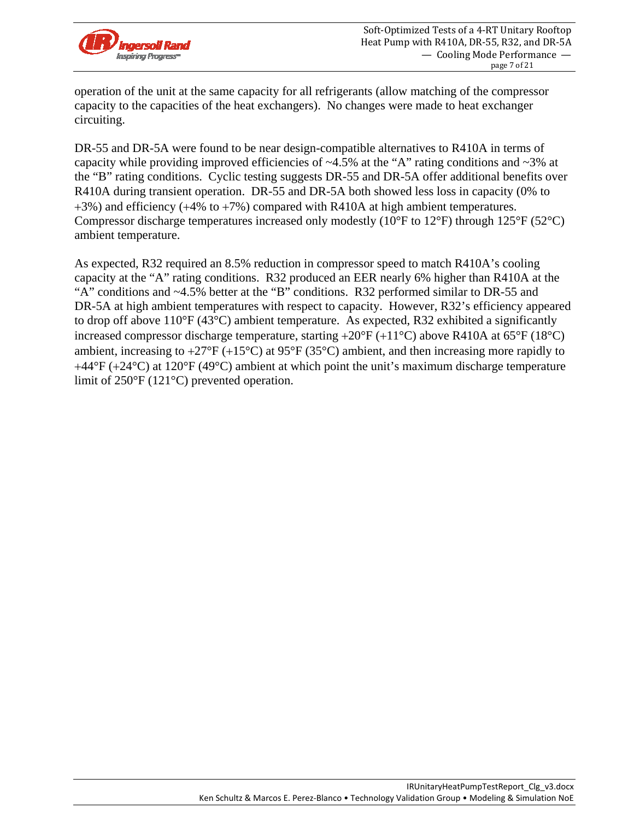

operation of the unit at the same capacity for all refrigerants (allow matching of the compressor capacity to the capacities of the heat exchangers). No changes were made to heat exchanger circuiting.

DR-55 and DR-5A were found to be near design-compatible alternatives to R410A in terms of capacity while providing improved efficiencies of  $\sim$ 4.5% at the "A" rating conditions and  $\sim$ 3% at the "B" rating conditions. Cyclic testing suggests DR-55 and DR-5A offer additional benefits over R410A during transient operation. DR-55 and DR-5A both showed less loss in capacity (0% to  $+3\%$ ) and efficiency ( $+4\%$  to  $+7\%$ ) compared with R410A at high ambient temperatures. Compressor discharge temperatures increased only modestly ( $10^{\circ}$ F to  $12^{\circ}$ F) through  $125^{\circ}$ F ( $52^{\circ}$ C) ambient temperature.

As expected, R32 required an 8.5% reduction in compressor speed to match R410A's cooling capacity at the "A" rating conditions. R32 produced an EER nearly 6% higher than R410A at the "A" conditions and ~4.5% better at the "B" conditions. R32 performed similar to DR-55 and DR-5A at high ambient temperatures with respect to capacity. However, R32's efficiency appeared to drop off above 110°F (43°C) ambient temperature. As expected, R32 exhibited a significantly increased compressor discharge temperature, starting  $+20^{\circ}F (+11^{\circ}C)$  above R410A at 65°F (18°C) ambient, increasing to  $+27^{\circ}F (+15^{\circ}C)$  at 95°F (35°C) ambient, and then increasing more rapidly to  $+44^{\circ}F (+24^{\circ}C)$  at 120°F (49°C) ambient at which point the unit's maximum discharge temperature limit of 250°F (121°C) prevented operation.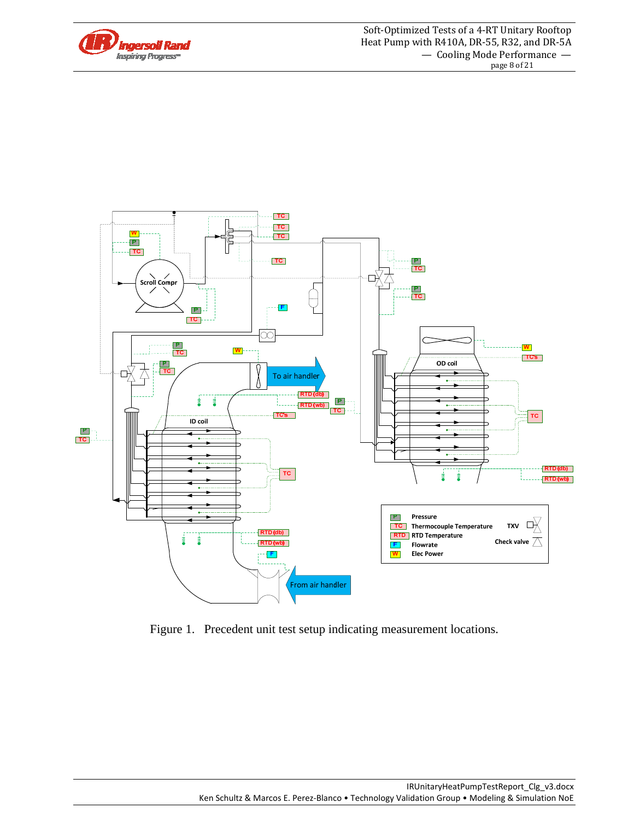



Figure 1. Precedent unit test setup indicating measurement locations.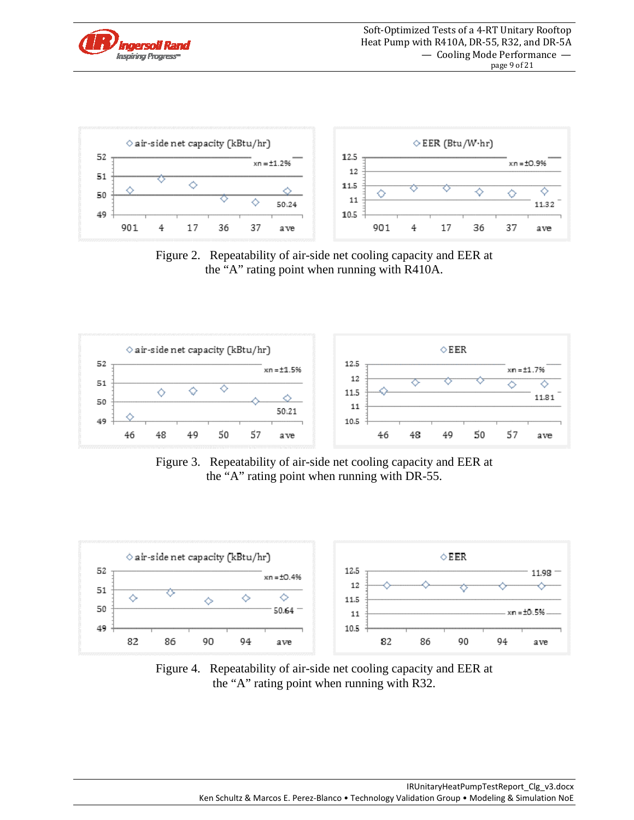



Figure 2. Repeatability of air-side net cooling capacity and EER at the "A" rating point when running with R410A.



Figure 3. Repeatability of air-side net cooling capacity and EER at the "A" rating point when running with DR-55.



Figure 4. Repeatability of air-side net cooling capacity and EER at the "A" rating point when running with R32.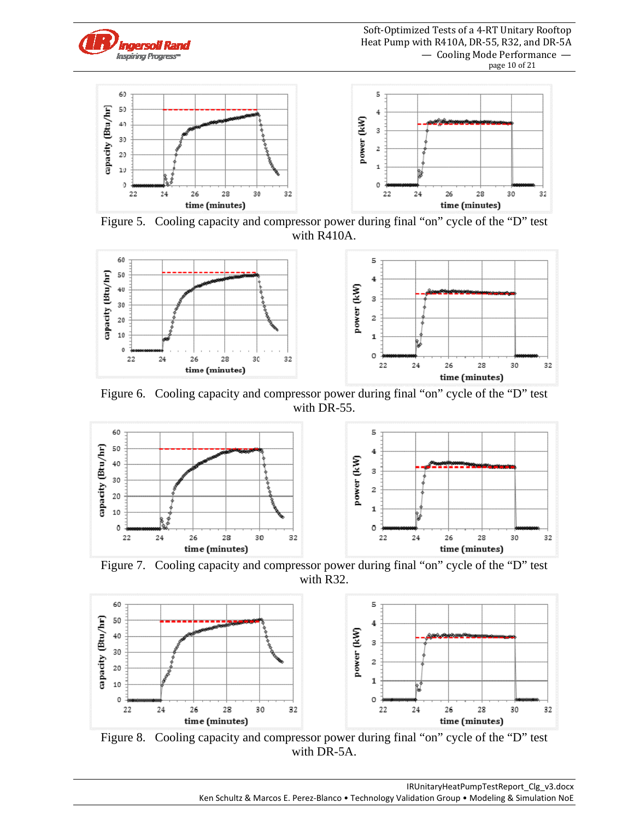



Figure 5. Cooling capacity and compressor power during final "on" cycle of the "D" test with R410A.



Figure 6. Cooling capacity and compressor power during final "on" cycle of the "D" test with DR-55.



Figure 7. Cooling capacity and compressor power during final "on" cycle of the "D" test with R32.



Figure 8. Cooling capacity and compressor power during final "on" cycle of the "D" test with DR-5A.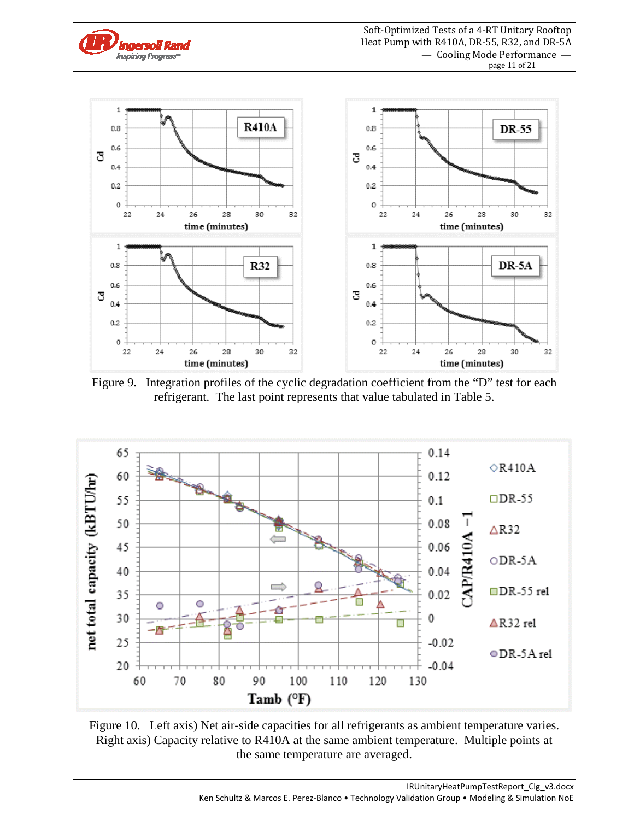

Figure 9. Integration profiles of the cyclic degradation coefficient from the "D" test for each refrigerant. The last point represents that value tabulated in Table 5.



Figure 10. Left axis) Net air-side capacities for all refrigerants as ambient temperature varies. Right axis) Capacity relative to R410A at the same ambient temperature. Multiple points at the same temperature are averaged.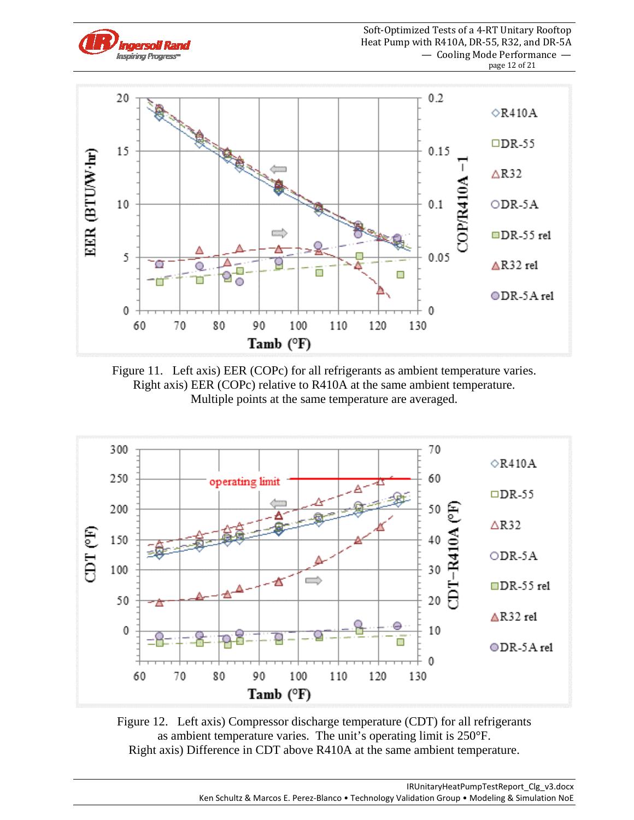

Figure 11. Left axis) EER (COPc) for all refrigerants as ambient temperature varies. Right axis) EER (COPc) relative to R410A at the same ambient temperature. Multiple points at the same temperature are averaged.



Figure 12. Left axis) Compressor discharge temperature (CDT) for all refrigerants as ambient temperature varies. The unit's operating limit is 250°F. Right axis) Difference in CDT above R410A at the same ambient temperature.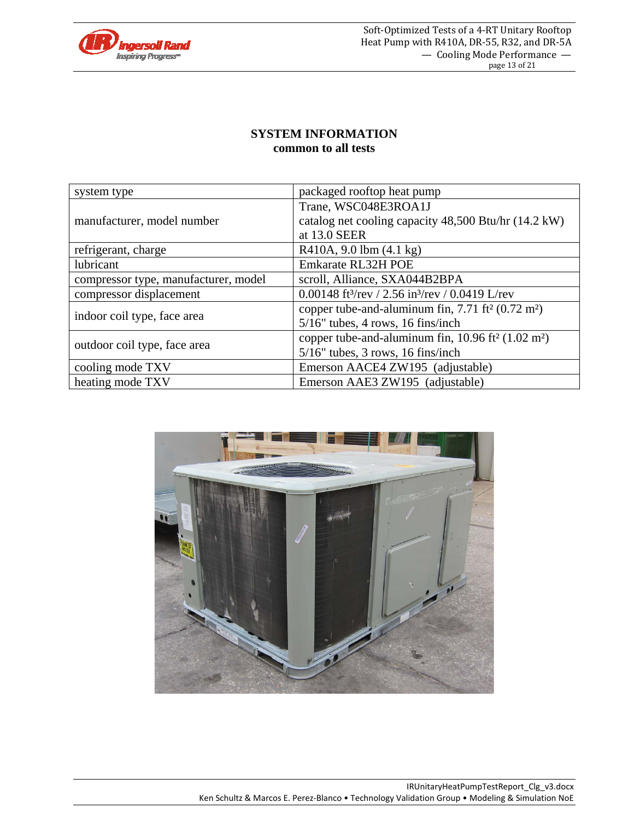

#### **SYSTEM INFORMATION common to all tests**

| system type                          | packaged rooftop heat pump                                              |  |  |  |  |  |
|--------------------------------------|-------------------------------------------------------------------------|--|--|--|--|--|
|                                      | Trane, WSC048E3ROA1J                                                    |  |  |  |  |  |
| manufacturer, model number           | catalog net cooling capacity 48,500 Btu/hr (14.2 kW)                    |  |  |  |  |  |
|                                      | at 13.0 SEER                                                            |  |  |  |  |  |
| refrigerant, charge                  | R410A, 9.0 lbm (4.1 kg)                                                 |  |  |  |  |  |
| lubricant                            | Emkarate RL32H POE                                                      |  |  |  |  |  |
| compressor type, manufacturer, model | scroll, Alliance, SXA044B2BPA                                           |  |  |  |  |  |
| compressor displacement              | 0.00148 ft <sup>3</sup> /rev / 2.56 in <sup>3</sup> /rev / 0.0419 L/rev |  |  |  |  |  |
|                                      | copper tube-and-aluminum fin, $7.71 \text{ ft}^2 (0.72 \text{ m}^2)$    |  |  |  |  |  |
| indoor coil type, face area          | $5/16$ " tubes, 4 rows, 16 fins/inch                                    |  |  |  |  |  |
|                                      | copper tube-and-aluminum fin, $10.96 \text{ ft}^2 (1.02 \text{ m}^2)$   |  |  |  |  |  |
| outdoor coil type, face area         | $5/16$ " tubes, 3 rows, 16 fins/inch                                    |  |  |  |  |  |
| cooling mode TXV                     | Emerson AACE4 ZW195 (adjustable)                                        |  |  |  |  |  |
| heating mode TXV                     | Emerson AAE3 ZW195 (adjustable)                                         |  |  |  |  |  |

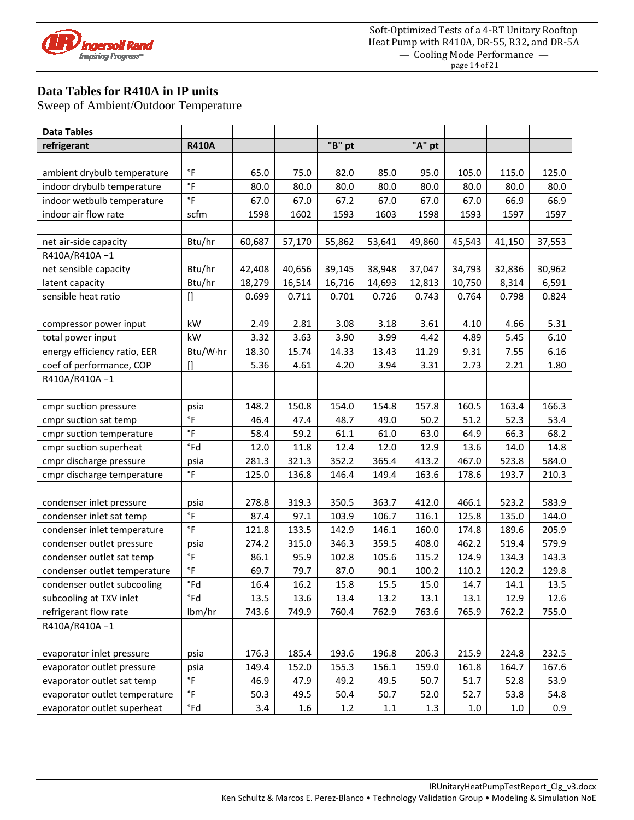

# **Data Tables for R410A in IP units**

| <b>Data Tables</b>            |                     |        |        |        |        |        |        |        |        |
|-------------------------------|---------------------|--------|--------|--------|--------|--------|--------|--------|--------|
| refrigerant                   | <b>R410A</b>        |        |        | "B" pt |        | "A" pt |        |        |        |
|                               |                     |        |        |        |        |        |        |        |        |
| ambient drybulb temperature   | $\circ$ F           | 65.0   | 75.0   | 82.0   | 85.0   | 95.0   | 105.0  | 115.0  | 125.0  |
| indoor drybulb temperature    | $\degree$ F         | 80.0   | 80.0   | 80.0   | 80.0   | 80.0   | 80.0   | 80.0   | 80.0   |
| indoor wetbulb temperature    | $\degree$ F         | 67.0   | 67.0   | 67.2   | 67.0   | 67.0   | 67.0   | 66.9   | 66.9   |
| indoor air flow rate          | scfm                | 1598   | 1602   | 1593   | 1603   | 1598   | 1593   | 1597   | 1597   |
|                               |                     |        |        |        |        |        |        |        |        |
| net air-side capacity         | Btu/hr              | 60,687 | 57,170 | 55,862 | 53,641 | 49,860 | 45,543 | 41,150 | 37,553 |
| R410A/R410A-1                 |                     |        |        |        |        |        |        |        |        |
| net sensible capacity         | Btu/hr              | 42,408 | 40,656 | 39,145 | 38,948 | 37,047 | 34,793 | 32,836 | 30,962 |
| latent capacity               | Btu/hr              | 18,279 | 16,514 | 16,716 | 14,693 | 12,813 | 10,750 | 8,314  | 6,591  |
| sensible heat ratio           | $\mathsf{I}$        | 0.699  | 0.711  | 0.701  | 0.726  | 0.743  | 0.764  | 0.798  | 0.824  |
|                               |                     |        |        |        |        |        |        |        |        |
| compressor power input        | kW                  | 2.49   | 2.81   | 3.08   | 3.18   | 3.61   | 4.10   | 4.66   | 5.31   |
| total power input             | kW                  | 3.32   | 3.63   | 3.90   | 3.99   | 4.42   | 4.89   | 5.45   | 6.10   |
| energy efficiency ratio, EER  | Btu/W·hr            | 18.30  | 15.74  | 14.33  | 13.43  | 11.29  | 9.31   | 7.55   | 6.16   |
| coef of performance, COP      | $[]$                | 5.36   | 4.61   | 4.20   | 3.94   | 3.31   | 2.73   | 2.21   | 1.80   |
| R410A/R410A-1                 |                     |        |        |        |        |        |        |        |        |
|                               |                     |        |        |        |        |        |        |        |        |
| cmpr suction pressure         | psia                | 148.2  | 150.8  | 154.0  | 154.8  | 157.8  | 160.5  | 163.4  | 166.3  |
| cmpr suction sat temp         | $\circ$ F           | 46.4   | 47.4   | 48.7   | 49.0   | 50.2   | 51.2   | 52.3   | 53.4   |
| cmpr suction temperature      | $\circ$ F           | 58.4   | 59.2   | 61.1   | 61.0   | 63.0   | 64.9   | 66.3   | 68.2   |
| cmpr suction superheat        | °Fd                 | 12.0   | 11.8   | 12.4   | 12.0   | 12.9   | 13.6   | 14.0   | 14.8   |
| cmpr discharge pressure       | psia                | 281.3  | 321.3  | 352.2  | 365.4  | 413.2  | 467.0  | 523.8  | 584.0  |
| cmpr discharge temperature    | $\circ$ F           | 125.0  | 136.8  | 146.4  | 149.4  | 163.6  | 178.6  | 193.7  | 210.3  |
|                               |                     |        |        |        |        |        |        |        |        |
| condenser inlet pressure      | psia                | 278.8  | 319.3  | 350.5  | 363.7  | 412.0  | 466.1  | 523.2  | 583.9  |
| condenser inlet sat temp      | $\degree$ F         | 87.4   | 97.1   | 103.9  | 106.7  | 116.1  | 125.8  | 135.0  | 144.0  |
| condenser inlet temperature   | $\degree$ F         | 121.8  | 133.5  | 142.9  | 146.1  | 160.0  | 174.8  | 189.6  | 205.9  |
| condenser outlet pressure     | psia                | 274.2  | 315.0  | 346.3  | 359.5  | 408.0  | 462.2  | 519.4  | 579.9  |
| condenser outlet sat temp     | $\circ$ F           | 86.1   | 95.9   | 102.8  | 105.6  | 115.2  | 124.9  | 134.3  | 143.3  |
| condenser outlet temperature  | $^\circ \mathsf{F}$ | 69.7   | 79.7   | 87.0   | 90.1   | 100.2  | 110.2  | 120.2  | 129.8  |
| condenser outlet subcooling   | °Fd                 | 16.4   | 16.2   | 15.8   | 15.5   | 15.0   | 14.7   | 14.1   | 13.5   |
| subcooling at TXV inlet       | °Fd                 | 13.5   | 13.6   | 13.4   | 13.2   | 13.1   | 13.1   | 12.9   | 12.6   |
| refrigerant flow rate         | lbm/hr              | 743.6  | 749.9  | 760.4  | 762.9  | 763.6  | 765.9  | 762.2  | 755.0  |
| R410A/R410A-1                 |                     |        |        |        |        |        |        |        |        |
|                               |                     |        |        |        |        |        |        |        |        |
| evaporator inlet pressure     | psia                | 176.3  | 185.4  | 193.6  | 196.8  | 206.3  | 215.9  | 224.8  | 232.5  |
| evaporator outlet pressure    | psia                | 149.4  | 152.0  | 155.3  | 156.1  | 159.0  | 161.8  | 164.7  | 167.6  |
| evaporator outlet sat temp    | $^\circ \mathsf{F}$ | 46.9   | 47.9   | 49.2   | 49.5   | 50.7   | 51.7   | 52.8   | 53.9   |
| evaporator outlet temperature | $^\circ \mathsf{F}$ | 50.3   | 49.5   | 50.4   | 50.7   | 52.0   | 52.7   | 53.8   | 54.8   |
| evaporator outlet superheat   | °Fd                 | 3.4    | 1.6    | 1.2    | 1.1    | 1.3    | 1.0    | 1.0    | 0.9    |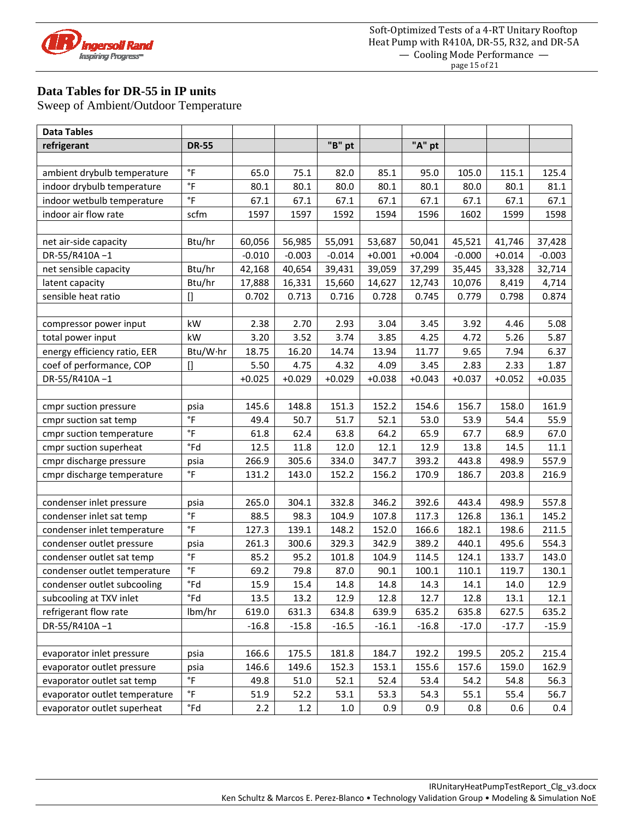

### **Data Tables for DR-55 in IP units**

| <b>Data Tables</b>            |                         |          |          |          |          |          |          |          |          |
|-------------------------------|-------------------------|----------|----------|----------|----------|----------|----------|----------|----------|
| refrigerant                   | <b>DR-55</b>            |          |          | "B" pt   |          | "A" pt   |          |          |          |
|                               |                         |          |          |          |          |          |          |          |          |
| ambient drybulb temperature   | °F                      | 65.0     | 75.1     | 82.0     | 85.1     | 95.0     | 105.0    | 115.1    | 125.4    |
| indoor drybulb temperature    | $\degree$ F             | 80.1     | 80.1     | 80.0     | 80.1     | 80.1     | 80.0     | 80.1     | 81.1     |
| indoor wetbulb temperature    | $\degree$ F             | 67.1     | 67.1     | 67.1     | 67.1     | 67.1     | 67.1     | 67.1     | 67.1     |
| indoor air flow rate          | scfm                    | 1597     | 1597     | 1592     | 1594     | 1596     | 1602     | 1599     | 1598     |
|                               |                         |          |          |          |          |          |          |          |          |
| net air-side capacity         | Btu/hr                  | 60,056   | 56,985   | 55,091   | 53,687   | 50,041   | 45,521   | 41,746   | 37,428   |
| DR-55/R410A-1                 |                         | $-0.010$ | $-0.003$ | $-0.014$ | $+0.001$ | $+0.004$ | $-0.000$ | $+0.014$ | $-0.003$ |
| net sensible capacity         | Btu/hr                  | 42,168   | 40,654   | 39,431   | 39,059   | 37,299   | 35,445   | 33,328   | 32,714   |
| latent capacity               | Btu/hr                  | 17,888   | 16,331   | 15,660   | 14,627   | 12,743   | 10,076   | 8,419    | 4,714    |
| sensible heat ratio           | $\prod$                 | 0.702    | 0.713    | 0.716    | 0.728    | 0.745    | 0.779    | 0.798    | 0.874    |
|                               |                         |          |          |          |          |          |          |          |          |
| compressor power input        | kW                      | 2.38     | 2.70     | 2.93     | 3.04     | 3.45     | 3.92     | 4.46     | 5.08     |
| total power input             | kW                      | 3.20     | 3.52     | 3.74     | 3.85     | 4.25     | 4.72     | 5.26     | 5.87     |
| energy efficiency ratio, EER  | Btu/W·hr                | 18.75    | 16.20    | 14.74    | 13.94    | 11.77    | 9.65     | 7.94     | 6.37     |
| coef of performance, COP      | $[]$                    | 5.50     | 4.75     | 4.32     | 4.09     | 3.45     | 2.83     | 2.33     | 1.87     |
| DR-55/R410A-1                 |                         | $+0.025$ | $+0.029$ | $+0.029$ | $+0.038$ | $+0.043$ | $+0.037$ | $+0.052$ | $+0.035$ |
|                               |                         |          |          |          |          |          |          |          |          |
| cmpr suction pressure         | psia                    | 145.6    | 148.8    | 151.3    | 152.2    | 154.6    | 156.7    | 158.0    | 161.9    |
| cmpr suction sat temp         | $\,{}^\circ \mathsf{F}$ | 49.4     | 50.7     | 51.7     | 52.1     | 53.0     | 53.9     | 54.4     | 55.9     |
| cmpr suction temperature      | $\,{}^\circ \mathsf{F}$ | 61.8     | 62.4     | 63.8     | 64.2     | 65.9     | 67.7     | 68.9     | 67.0     |
| cmpr suction superheat        | $\degree$ Fd            | 12.5     | 11.8     | 12.0     | 12.1     | 12.9     | 13.8     | 14.5     | 11.1     |
| cmpr discharge pressure       | psia                    | 266.9    | 305.6    | 334.0    | 347.7    | 393.2    | 443.8    | 498.9    | 557.9    |
| cmpr discharge temperature    | $\,{}^\circ \mathsf{F}$ | 131.2    | 143.0    | 152.2    | 156.2    | 170.9    | 186.7    | 203.8    | 216.9    |
|                               |                         |          |          |          |          |          |          |          |          |
| condenser inlet pressure      | psia                    | 265.0    | 304.1    | 332.8    | 346.2    | 392.6    | 443.4    | 498.9    | 557.8    |
| condenser inlet sat temp      | $\degree$ F             | 88.5     | 98.3     | 104.9    | 107.8    | 117.3    | 126.8    | 136.1    | 145.2    |
| condenser inlet temperature   | $\degree$ F             | 127.3    | 139.1    | 148.2    | 152.0    | 166.6    | 182.1    | 198.6    | 211.5    |
| condenser outlet pressure     | psia                    | 261.3    | 300.6    | 329.3    | 342.9    | 389.2    | 440.1    | 495.6    | 554.3    |
| condenser outlet sat temp     | $^\circ \mathsf{F}$     | 85.2     | 95.2     | 101.8    | 104.9    | 114.5    | 124.1    | 133.7    | 143.0    |
| condenser outlet temperature  | $\,{}^\circ \mathsf{F}$ | 69.2     | 79.8     | 87.0     | 90.1     | 100.1    | 110.1    | 119.7    | 130.1    |
| condenser outlet subcooling   | °Fd                     | 15.9     | 15.4     | 14.8     | 14.8     | 14.3     | 14.1     | 14.0     | 12.9     |
| subcooling at TXV inlet       | $\degree$ Fd            | 13.5     | 13.2     | 12.9     | 12.8     | 12.7     | 12.8     | 13.1     | 12.1     |
| refrigerant flow rate         | lbm/hr                  | 619.0    | 631.3    | 634.8    | 639.9    | 635.2    | 635.8    | 627.5    | 635.2    |
| DR-55/R410A-1                 |                         | $-16.8$  | $-15.8$  | $-16.5$  | $-16.1$  | $-16.8$  | $-17.0$  | $-17.7$  | $-15.9$  |
|                               |                         |          |          |          |          |          |          |          |          |
| evaporator inlet pressure     | psia                    | 166.6    | 175.5    | 181.8    | 184.7    | 192.2    | 199.5    | 205.2    | 215.4    |
| evaporator outlet pressure    | psia                    | 146.6    | 149.6    | 152.3    | 153.1    | 155.6    | 157.6    | 159.0    | 162.9    |
| evaporator outlet sat temp    | $\,{}^\circ \mathsf{F}$ | 49.8     | 51.0     | 52.1     | 52.4     | 53.4     | 54.2     | 54.8     | 56.3     |
| evaporator outlet temperature | $\,{}^\circ \mathsf{F}$ | 51.9     | 52.2     | 53.1     | 53.3     | 54.3     | 55.1     | 55.4     | 56.7     |
| evaporator outlet superheat   | $\degree$ Fd            | 2.2      | 1.2      | $1.0\,$  | 0.9      | 0.9      | 0.8      | 0.6      | 0.4      |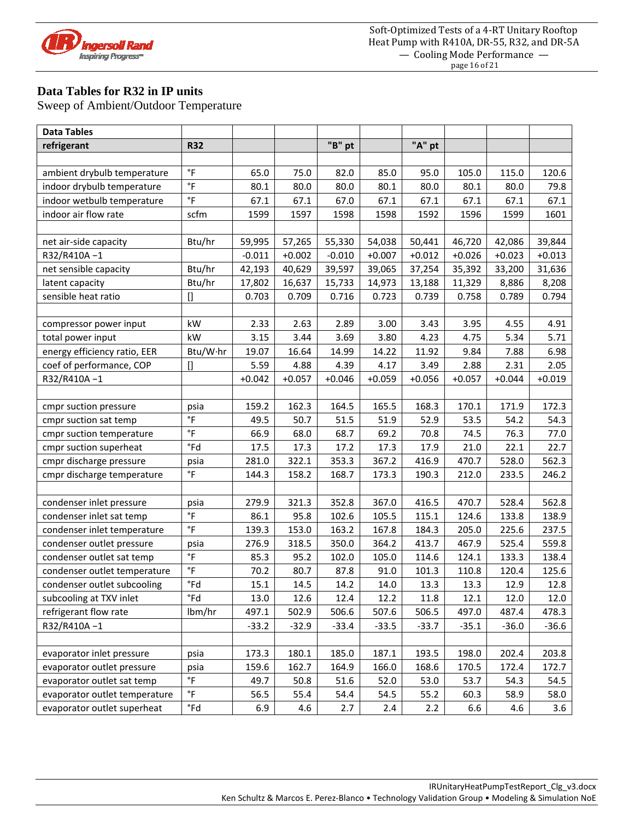

# **Data Tables for R32 in IP units**

| <b>Data Tables</b>            |                         |          |          |          |          |          |          |          |          |
|-------------------------------|-------------------------|----------|----------|----------|----------|----------|----------|----------|----------|
| refrigerant                   | <b>R32</b>              |          |          | "B" pt   |          | "A" pt   |          |          |          |
|                               |                         |          |          |          |          |          |          |          |          |
| ambient drybulb temperature   | °F                      | 65.0     | 75.0     | 82.0     | 85.0     | 95.0     | 105.0    | 115.0    | 120.6    |
| indoor drybulb temperature    | $\degree$ F             | 80.1     | 80.0     | 80.0     | 80.1     | 80.0     | 80.1     | 80.0     | 79.8     |
| indoor wetbulb temperature    | $\degree$ F             | 67.1     | 67.1     | 67.0     | 67.1     | 67.1     | 67.1     | 67.1     | 67.1     |
| indoor air flow rate          | scfm                    | 1599     | 1597     | 1598     | 1598     | 1592     | 1596     | 1599     | 1601     |
|                               |                         |          |          |          |          |          |          |          |          |
| net air-side capacity         | Btu/hr                  | 59,995   | 57,265   | 55,330   | 54,038   | 50,441   | 46,720   | 42,086   | 39,844   |
| R32/R410A-1                   |                         | $-0.011$ | $+0.002$ | $-0.010$ | $+0.007$ | $+0.012$ | $+0.026$ | $+0.023$ | $+0.013$ |
| net sensible capacity         | Btu/hr                  | 42,193   | 40,629   | 39,597   | 39,065   | 37,254   | 35,392   | 33,200   | 31,636   |
| latent capacity               | Btu/hr                  | 17,802   | 16,637   | 15,733   | 14,973   | 13,188   | 11,329   | 8,886    | 8,208    |
| sensible heat ratio           | $\prod$                 | 0.703    | 0.709    | 0.716    | 0.723    | 0.739    | 0.758    | 0.789    | 0.794    |
|                               |                         |          |          |          |          |          |          |          |          |
| compressor power input        | kW                      | 2.33     | 2.63     | 2.89     | 3.00     | 3.43     | 3.95     | 4.55     | 4.91     |
| total power input             | kW                      | 3.15     | 3.44     | 3.69     | 3.80     | 4.23     | 4.75     | 5.34     | 5.71     |
| energy efficiency ratio, EER  | Btu/W·hr                | 19.07    | 16.64    | 14.99    | 14.22    | 11.92    | 9.84     | 7.88     | 6.98     |
| coef of performance, COP      | $[]$                    | 5.59     | 4.88     | 4.39     | 4.17     | 3.49     | 2.88     | 2.31     | 2.05     |
| R32/R410A-1                   |                         | $+0.042$ | $+0.057$ | $+0.046$ | $+0.059$ | $+0.056$ | $+0.057$ | $+0.044$ | $+0.019$ |
|                               |                         |          |          |          |          |          |          |          |          |
| cmpr suction pressure         | psia                    | 159.2    | 162.3    | 164.5    | 165.5    | 168.3    | 170.1    | 171.9    | 172.3    |
| cmpr suction sat temp         | $\,{}^\circ \mathsf{F}$ | 49.5     | 50.7     | 51.5     | 51.9     | 52.9     | 53.5     | 54.2     | 54.3     |
| cmpr suction temperature      | $\,{}^\circ \mathsf{F}$ | 66.9     | 68.0     | 68.7     | 69.2     | 70.8     | 74.5     | 76.3     | 77.0     |
| cmpr suction superheat        | $\degree$ Fd            | 17.5     | 17.3     | 17.2     | 17.3     | 17.9     | 21.0     | 22.1     | 22.7     |
| cmpr discharge pressure       | psia                    | 281.0    | 322.1    | 353.3    | 367.2    | 416.9    | 470.7    | 528.0    | 562.3    |
| cmpr discharge temperature    | $\,{}^\circ \mathsf{F}$ | 144.3    | 158.2    | 168.7    | 173.3    | 190.3    | 212.0    | 233.5    | 246.2    |
|                               |                         |          |          |          |          |          |          |          |          |
| condenser inlet pressure      | psia                    | 279.9    | 321.3    | 352.8    | 367.0    | 416.5    | 470.7    | 528.4    | 562.8    |
| condenser inlet sat temp      | $\degree$ F             | 86.1     | 95.8     | 102.6    | 105.5    | 115.1    | 124.6    | 133.8    | 138.9    |
| condenser inlet temperature   | $\degree$ F             | 139.3    | 153.0    | 163.2    | 167.8    | 184.3    | 205.0    | 225.6    | 237.5    |
| condenser outlet pressure     | psia                    | 276.9    | 318.5    | 350.0    | 364.2    | 413.7    | 467.9    | 525.4    | 559.8    |
| condenser outlet sat temp     | $^\circ \mathsf{F}$     | 85.3     | 95.2     | 102.0    | 105.0    | 114.6    | 124.1    | 133.3    | 138.4    |
| condenser outlet temperature  | $\circ$ F               | 70.2     | 80.7     | 87.8     | 91.0     | 101.3    | 110.8    | 120.4    | 125.6    |
| condenser outlet subcooling   | °Fd                     | 15.1     | 14.5     | 14.2     | 14.0     | 13.3     | 13.3     | 12.9     | 12.8     |
| subcooling at TXV inlet       | $\degree$ Fd            | 13.0     | 12.6     | 12.4     | 12.2     | 11.8     | 12.1     | 12.0     | 12.0     |
| refrigerant flow rate         | lbm/hr                  | 497.1    | 502.9    | 506.6    | 507.6    | 506.5    | 497.0    | 487.4    | 478.3    |
| R32/R410A-1                   |                         | $-33.2$  | $-32.9$  | $-33.4$  | $-33.5$  | $-33.7$  | $-35.1$  | $-36.0$  | $-36.6$  |
|                               |                         |          |          |          |          |          |          |          |          |
| evaporator inlet pressure     | psia                    | 173.3    | 180.1    | 185.0    | 187.1    | 193.5    | 198.0    | 202.4    | 203.8    |
| evaporator outlet pressure    | psia                    | 159.6    | 162.7    | 164.9    | 166.0    | 168.6    | 170.5    | 172.4    | 172.7    |
| evaporator outlet sat temp    | $\,{}^\circ \mathsf{F}$ | 49.7     | 50.8     | 51.6     | 52.0     | 53.0     | 53.7     | 54.3     | 54.5     |
| evaporator outlet temperature | $\,{}^\circ \mathsf{F}$ | 56.5     | 55.4     | 54.4     | 54.5     | 55.2     | 60.3     | 58.9     | 58.0     |
| evaporator outlet superheat   | $\degree$ Fd            | 6.9      | 4.6      | 2.7      | 2.4      | 2.2      | 6.6      | 4.6      | 3.6      |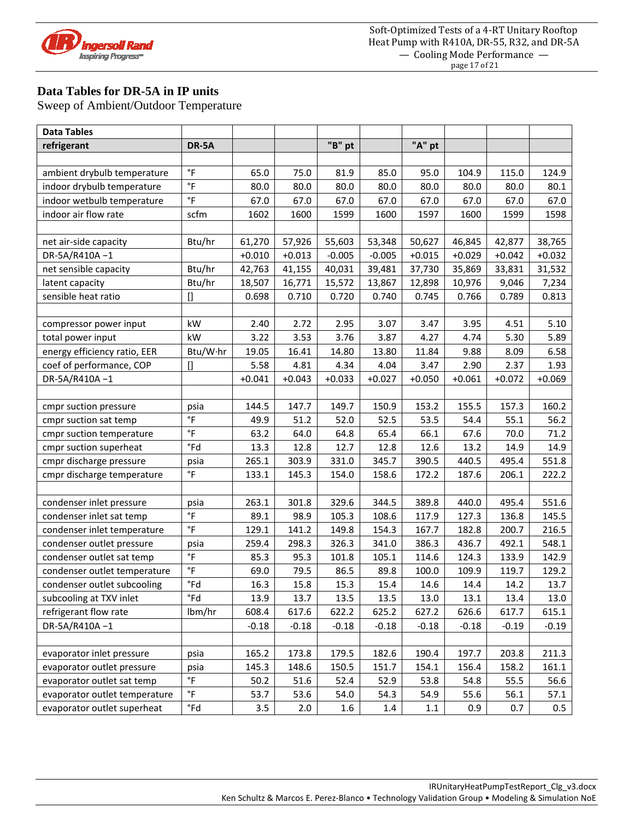

# **Data Tables for DR-5A in IP units**

| <b>Data Tables</b>            |                         |          |          |          |          |          |          |          |          |
|-------------------------------|-------------------------|----------|----------|----------|----------|----------|----------|----------|----------|
| refrigerant                   | DR-5A                   |          |          | "B" pt   |          | "A" pt   |          |          |          |
|                               |                         |          |          |          |          |          |          |          |          |
| ambient drybulb temperature   | °F                      | 65.0     | 75.0     | 81.9     | 85.0     | 95.0     | 104.9    | 115.0    | 124.9    |
| indoor drybulb temperature    | $\degree$ F             | 80.0     | 80.0     | 80.0     | 80.0     | 80.0     | 80.0     | 80.0     | 80.1     |
| indoor wetbulb temperature    | $\degree$ F             | 67.0     | 67.0     | 67.0     | 67.0     | 67.0     | 67.0     | 67.0     | 67.0     |
| indoor air flow rate          | scfm                    | 1602     | 1600     | 1599     | 1600     | 1597     | 1600     | 1599     | 1598     |
|                               |                         |          |          |          |          |          |          |          |          |
| net air-side capacity         | Btu/hr                  | 61,270   | 57,926   | 55,603   | 53,348   | 50,627   | 46,845   | 42,877   | 38,765   |
| DR-5A/R410A-1                 |                         | $+0.010$ | $+0.013$ | $-0.005$ | $-0.005$ | $+0.015$ | $+0.029$ | $+0.042$ | $+0.032$ |
| net sensible capacity         | Btu/hr                  | 42,763   | 41,155   | 40,031   | 39,481   | 37,730   | 35,869   | 33,831   | 31,532   |
| latent capacity               | Btu/hr                  | 18,507   | 16,771   | 15,572   | 13,867   | 12,898   | 10,976   | 9,046    | 7,234    |
| sensible heat ratio           | $\prod$                 | 0.698    | 0.710    | 0.720    | 0.740    | 0.745    | 0.766    | 0.789    | 0.813    |
|                               |                         |          |          |          |          |          |          |          |          |
| compressor power input        | kW                      | 2.40     | 2.72     | 2.95     | 3.07     | 3.47     | 3.95     | 4.51     | 5.10     |
| total power input             | kW                      | 3.22     | 3.53     | 3.76     | 3.87     | 4.27     | 4.74     | 5.30     | 5.89     |
| energy efficiency ratio, EER  | Btu/W·hr                | 19.05    | 16.41    | 14.80    | 13.80    | 11.84    | 9.88     | 8.09     | 6.58     |
| coef of performance, COP      | $[]$                    | 5.58     | 4.81     | 4.34     | 4.04     | 3.47     | 2.90     | 2.37     | 1.93     |
| DR-5A/R410A-1                 |                         | $+0.041$ | $+0.043$ | $+0.033$ | $+0.027$ | $+0.050$ | $+0.061$ | $+0.072$ | $+0.069$ |
|                               |                         |          |          |          |          |          |          |          |          |
| cmpr suction pressure         | psia                    | 144.5    | 147.7    | 149.7    | 150.9    | 153.2    | 155.5    | 157.3    | 160.2    |
| cmpr suction sat temp         | $\,{}^\circ \mathsf{F}$ | 49.9     | 51.2     | 52.0     | 52.5     | 53.5     | 54.4     | 55.1     | 56.2     |
| cmpr suction temperature      | $\,{}^\circ \mathsf{F}$ | 63.2     | 64.0     | 64.8     | 65.4     | 66.1     | 67.6     | 70.0     | 71.2     |
| cmpr suction superheat        | $\degree$ Fd            | 13.3     | 12.8     | 12.7     | 12.8     | 12.6     | 13.2     | 14.9     | 14.9     |
| cmpr discharge pressure       | psia                    | 265.1    | 303.9    | 331.0    | 345.7    | 390.5    | 440.5    | 495.4    | 551.8    |
| cmpr discharge temperature    | $\,{}^\circ \mathsf{F}$ | 133.1    | 145.3    | 154.0    | 158.6    | 172.2    | 187.6    | 206.1    | 222.2    |
|                               |                         |          |          |          |          |          |          |          |          |
| condenser inlet pressure      | psia                    | 263.1    | 301.8    | 329.6    | 344.5    | 389.8    | 440.0    | 495.4    | 551.6    |
| condenser inlet sat temp      | $\degree$ F             | 89.1     | 98.9     | 105.3    | 108.6    | 117.9    | 127.3    | 136.8    | 145.5    |
| condenser inlet temperature   | $\degree$ F             | 129.1    | 141.2    | 149.8    | 154.3    | 167.7    | 182.8    | 200.7    | 216.5    |
| condenser outlet pressure     | psia                    | 259.4    | 298.3    | 326.3    | 341.0    | 386.3    | 436.7    | 492.1    | 548.1    |
| condenser outlet sat temp     | $^\circ \mathsf{F}$     | 85.3     | 95.3     | 101.8    | 105.1    | 114.6    | 124.3    | 133.9    | 142.9    |
| condenser outlet temperature  | $\,{}^\circ \mathsf{F}$ | 69.0     | 79.5     | 86.5     | 89.8     | 100.0    | 109.9    | 119.7    | 129.2    |
| condenser outlet subcooling   | °Fd                     | 16.3     | 15.8     | 15.3     | 15.4     | 14.6     | 14.4     | 14.2     | 13.7     |
| subcooling at TXV inlet       | $\degree$ Fd            | 13.9     | 13.7     | 13.5     | 13.5     | 13.0     | 13.1     | 13.4     | 13.0     |
| refrigerant flow rate         | lbm/hr                  | 608.4    | 617.6    | 622.2    | 625.2    | 627.2    | 626.6    | 617.7    | 615.1    |
| DR-5A/R410A-1                 |                         | $-0.18$  | $-0.18$  | $-0.18$  | $-0.18$  | $-0.18$  | $-0.18$  | $-0.19$  | $-0.19$  |
|                               |                         |          |          |          |          |          |          |          |          |
| evaporator inlet pressure     | psia                    | 165.2    | 173.8    | 179.5    | 182.6    | 190.4    | 197.7    | 203.8    | 211.3    |
| evaporator outlet pressure    | psia                    | 145.3    | 148.6    | 150.5    | 151.7    | 154.1    | 156.4    | 158.2    | 161.1    |
| evaporator outlet sat temp    | $\,{}^\circ \mathsf{F}$ | 50.2     | 51.6     | 52.4     | 52.9     | 53.8     | 54.8     | 55.5     | 56.6     |
| evaporator outlet temperature | $\,{}^\circ \mathsf{F}$ | 53.7     | 53.6     | 54.0     | 54.3     | 54.9     | 55.6     | 56.1     | 57.1     |
| evaporator outlet superheat   | $\degree$ Fd            | 3.5      | 2.0      | 1.6      | 1.4      | 1.1      | 0.9      | 0.7      | 0.5      |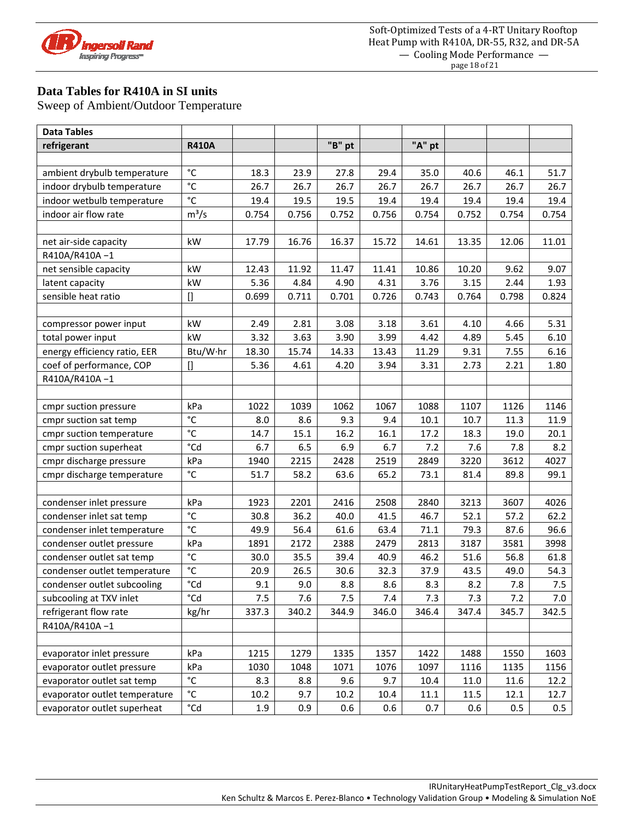

# **Data Tables for R410A in SI units**

| <b>Data Tables</b>            |                   |       |       |        |       |        |       |       |       |
|-------------------------------|-------------------|-------|-------|--------|-------|--------|-------|-------|-------|
| refrigerant                   | <b>R410A</b>      |       |       | "B" pt |       | "A" pt |       |       |       |
|                               |                   |       |       |        |       |        |       |       |       |
| ambient drybulb temperature   | $^{\circ}$ C      | 18.3  | 23.9  | 27.8   | 29.4  | 35.0   | 40.6  | 46.1  | 51.7  |
| indoor drybulb temperature    | $\overline{c}$    | 26.7  | 26.7  | 26.7   | 26.7  | 26.7   | 26.7  | 26.7  | 26.7  |
| indoor wetbulb temperature    | $^{\circ}$ C      | 19.4  | 19.5  | 19.5   | 19.4  | 19.4   | 19.4  | 19.4  | 19.4  |
| indoor air flow rate          | $m^3/s$           | 0.754 | 0.756 | 0.752  | 0.756 | 0.754  | 0.752 | 0.754 | 0.754 |
|                               |                   |       |       |        |       |        |       |       |       |
| net air-side capacity         | kW                | 17.79 | 16.76 | 16.37  | 15.72 | 14.61  | 13.35 | 12.06 | 11.01 |
| R410A/R410A-1                 |                   |       |       |        |       |        |       |       |       |
| net sensible capacity         | kW                | 12.43 | 11.92 | 11.47  | 11.41 | 10.86  | 10.20 | 9.62  | 9.07  |
| latent capacity               | kW                | 5.36  | 4.84  | 4.90   | 4.31  | 3.76   | 3.15  | 2.44  | 1.93  |
| sensible heat ratio           | $\mathsf{I}$      | 0.699 | 0.711 | 0.701  | 0.726 | 0.743  | 0.764 | 0.798 | 0.824 |
|                               |                   |       |       |        |       |        |       |       |       |
| compressor power input        | kW                | 2.49  | 2.81  | 3.08   | 3.18  | 3.61   | 4.10  | 4.66  | 5.31  |
| total power input             | kW                | 3.32  | 3.63  | 3.90   | 3.99  | 4.42   | 4.89  | 5.45  | 6.10  |
| energy efficiency ratio, EER  | Btu/W·hr          | 18.30 | 15.74 | 14.33  | 13.43 | 11.29  | 9.31  | 7.55  | 6.16  |
| coef of performance, COP      | $[]$              | 5.36  | 4.61  | 4.20   | 3.94  | 3.31   | 2.73  | 2.21  | 1.80  |
| R410A/R410A-1                 |                   |       |       |        |       |        |       |       |       |
|                               |                   |       |       |        |       |        |       |       |       |
| cmpr suction pressure         | kPa               | 1022  | 1039  | 1062   | 1067  | 1088   | 1107  | 1126  | 1146  |
| cmpr suction sat temp         | $^{\circ}{\rm C}$ | 8.0   | 8.6   | 9.3    | 9.4   | 10.1   | 10.7  | 11.3  | 11.9  |
| cmpr suction temperature      | $\rm ^{\circ}C$   | 14.7  | 15.1  | 16.2   | 16.1  | 17.2   | 18.3  | 19.0  | 20.1  |
| cmpr suction superheat        | °Cd               | 6.7   | 6.5   | 6.9    | 6.7   | 7.2    | 7.6   | 7.8   | 8.2   |
| cmpr discharge pressure       | kPa               | 1940  | 2215  | 2428   | 2519  | 2849   | 3220  | 3612  | 4027  |
| cmpr discharge temperature    | $^{\circ}$ C      | 51.7  | 58.2  | 63.6   | 65.2  | 73.1   | 81.4  | 89.8  | 99.1  |
|                               |                   |       |       |        |       |        |       |       |       |
| condenser inlet pressure      | kPa               | 1923  | 2201  | 2416   | 2508  | 2840   | 3213  | 3607  | 4026  |
| condenser inlet sat temp      | $^{\circ}$ C      | 30.8  | 36.2  | 40.0   | 41.5  | 46.7   | 52.1  | 57.2  | 62.2  |
| condenser inlet temperature   | $^{\circ}$ C      | 49.9  | 56.4  | 61.6   | 63.4  | 71.1   | 79.3  | 87.6  | 96.6  |
| condenser outlet pressure     | kPa               | 1891  | 2172  | 2388   | 2479  | 2813   | 3187  | 3581  | 3998  |
| condenser outlet sat temp     | $^{\circ}{\rm C}$ | 30.0  | 35.5  | 39.4   | 40.9  | 46.2   | 51.6  | 56.8  | 61.8  |
| condenser outlet temperature  | $^{\circ}{\rm C}$ | 20.9  | 26.5  | 30.6   | 32.3  | 37.9   | 43.5  | 49.0  | 54.3  |
| condenser outlet subcooling   | °Cd               | 9.1   | 9.0   | 8.8    | 8.6   | 8.3    | 8.2   | 7.8   | 7.5   |
| subcooling at TXV inlet       | °Cd               | 7.5   | 7.6   | 7.5    | 7.4   | 7.3    | 7.3   | 7.2   | 7.0   |
| refrigerant flow rate         | kg/hr             | 337.3 | 340.2 | 344.9  | 346.0 | 346.4  | 347.4 | 345.7 | 342.5 |
| R410A/R410A-1                 |                   |       |       |        |       |        |       |       |       |
|                               |                   |       |       |        |       |        |       |       |       |
| evaporator inlet pressure     | kPa               | 1215  | 1279  | 1335   | 1357  | 1422   | 1488  | 1550  | 1603  |
| evaporator outlet pressure    | kPa               | 1030  | 1048  | 1071   | 1076  | 1097   | 1116  | 1135  | 1156  |
| evaporator outlet sat temp    | $^{\circ}$ C      | 8.3   | 8.8   | 9.6    | 9.7   | 10.4   | 11.0  | 11.6  | 12.2  |
| evaporator outlet temperature | $^{\circ}$ C      | 10.2  | 9.7   | 10.2   | 10.4  | 11.1   | 11.5  | 12.1  | 12.7  |
| evaporator outlet superheat   | $^{\circ}$ Cd     | 1.9   | 0.9   | 0.6    | 0.6   | 0.7    | 0.6   | 0.5   | 0.5   |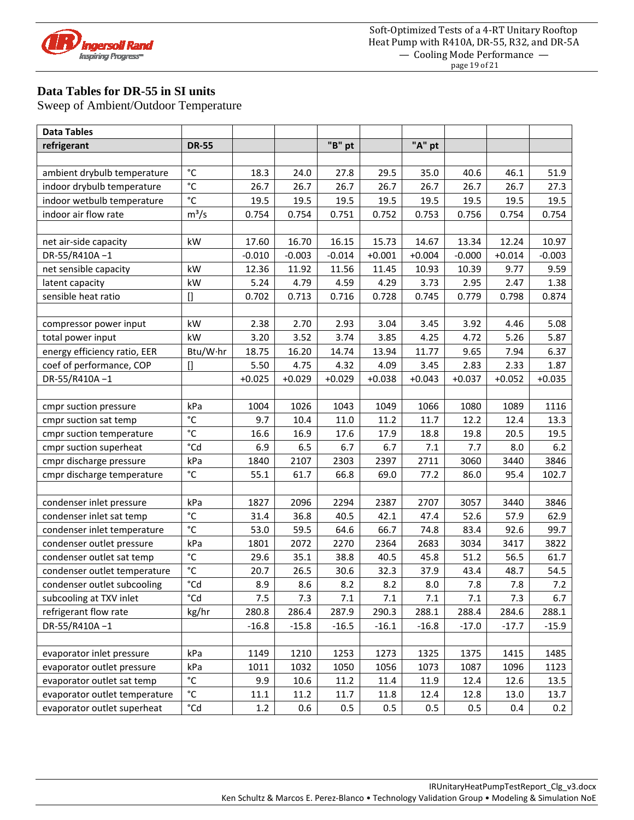

#### **Data Tables for DR-55 in SI units**

| <b>Data Tables</b>            |                   |          |          |          |          |          |          |          |          |
|-------------------------------|-------------------|----------|----------|----------|----------|----------|----------|----------|----------|
| refrigerant                   | <b>DR-55</b>      |          |          | "B" pt   |          | "A" pt   |          |          |          |
|                               |                   |          |          |          |          |          |          |          |          |
| ambient drybulb temperature   | $^{\circ}$ C      | 18.3     | 24.0     | 27.8     | 29.5     | 35.0     | 40.6     | 46.1     | 51.9     |
| indoor drybulb temperature    | $\overline{c}$    | 26.7     | 26.7     | 26.7     | 26.7     | 26.7     | 26.7     | 26.7     | 27.3     |
| indoor wetbulb temperature    | $\rm ^{\circ}C$   | 19.5     | 19.5     | 19.5     | 19.5     | 19.5     | 19.5     | 19.5     | 19.5     |
| indoor air flow rate          | $m^3/s$           | 0.754    | 0.754    | 0.751    | 0.752    | 0.753    | 0.756    | 0.754    | 0.754    |
|                               |                   |          |          |          |          |          |          |          |          |
| net air-side capacity         | kW                | 17.60    | 16.70    | 16.15    | 15.73    | 14.67    | 13.34    | 12.24    | 10.97    |
| DR-55/R410A-1                 |                   | $-0.010$ | $-0.003$ | $-0.014$ | $+0.001$ | $+0.004$ | $-0.000$ | $+0.014$ | $-0.003$ |
| net sensible capacity         | kW                | 12.36    | 11.92    | 11.56    | 11.45    | 10.93    | 10.39    | 9.77     | 9.59     |
| latent capacity               | kW                | 5.24     | 4.79     | 4.59     | 4.29     | 3.73     | 2.95     | 2.47     | 1.38     |
| sensible heat ratio           | $\prod$           | 0.702    | 0.713    | 0.716    | 0.728    | 0.745    | 0.779    | 0.798    | 0.874    |
|                               |                   |          |          |          |          |          |          |          |          |
| compressor power input        | kW                | 2.38     | 2.70     | 2.93     | 3.04     | 3.45     | 3.92     | 4.46     | 5.08     |
| total power input             | kW                | 3.20     | 3.52     | 3.74     | 3.85     | 4.25     | 4.72     | 5.26     | 5.87     |
| energy efficiency ratio, EER  | Btu/W·hr          | 18.75    | 16.20    | 14.74    | 13.94    | 11.77    | 9.65     | 7.94     | 6.37     |
| coef of performance, COP      | $[$               | 5.50     | 4.75     | 4.32     | 4.09     | 3.45     | 2.83     | 2.33     | 1.87     |
| DR-55/R410A-1                 |                   | $+0.025$ | $+0.029$ | $+0.029$ | $+0.038$ | $+0.043$ | $+0.037$ | $+0.052$ | $+0.035$ |
|                               |                   |          |          |          |          |          |          |          |          |
| cmpr suction pressure         | kPa               | 1004     | 1026     | 1043     | 1049     | 1066     | 1080     | 1089     | 1116     |
| cmpr suction sat temp         | $^{\circ}$ C      | 9.7      | 10.4     | 11.0     | 11.2     | 11.7     | 12.2     | 12.4     | 13.3     |
| cmpr suction temperature      | $\rm ^{\circ}C$   | 16.6     | 16.9     | 17.6     | 17.9     | 18.8     | 19.8     | 20.5     | 19.5     |
| cmpr suction superheat        | °Cd               | 6.9      | 6.5      | 6.7      | 6.7      | 7.1      | 7.7      | 8.0      | 6.2      |
| cmpr discharge pressure       | kPa               | 1840     | 2107     | 2303     | 2397     | 2711     | 3060     | 3440     | 3846     |
| cmpr discharge temperature    | $^{\circ}{\rm C}$ | 55.1     | 61.7     | 66.8     | 69.0     | 77.2     | 86.0     | 95.4     | 102.7    |
|                               |                   |          |          |          |          |          |          |          |          |
| condenser inlet pressure      | kPa               | 1827     | 2096     | 2294     | 2387     | 2707     | 3057     | 3440     | 3846     |
| condenser inlet sat temp      | $^{\circ}$ C      | 31.4     | 36.8     | 40.5     | 42.1     | 47.4     | 52.6     | 57.9     | 62.9     |
| condenser inlet temperature   | $^{\circ}$ C      | 53.0     | 59.5     | 64.6     | 66.7     | 74.8     | 83.4     | 92.6     | 99.7     |
| condenser outlet pressure     | kPa               | 1801     | 2072     | 2270     | 2364     | 2683     | 3034     | 3417     | 3822     |
| condenser outlet sat temp     | $^{\circ}{\rm C}$ | 29.6     | 35.1     | 38.8     | 40.5     | 45.8     | 51.2     | 56.5     | 61.7     |
| condenser outlet temperature  | $^{\circ}$ C      | 20.7     | 26.5     | 30.6     | 32.3     | 37.9     | 43.4     | 48.7     | 54.5     |
| condenser outlet subcooling   | °Cd               | 8.9      | 8.6      | $8.2\,$  | 8.2      | 8.0      | 7.8      | 7.8      | 7.2      |
| subcooling at TXV inlet       | °Cd               | 7.5      | 7.3      | 7.1      | 7.1      | 7.1      | 7.1      | 7.3      | 6.7      |
| refrigerant flow rate         | kg/hr             | 280.8    | 286.4    | 287.9    | 290.3    | 288.1    | 288.4    | 284.6    | 288.1    |
| DR-55/R410A-1                 |                   | $-16.8$  | $-15.8$  | $-16.5$  | $-16.1$  | $-16.8$  | $-17.0$  | $-17.7$  | $-15.9$  |
|                               |                   |          |          |          |          |          |          |          |          |
| evaporator inlet pressure     | kPa               | 1149     | 1210     | 1253     | 1273     | 1325     | 1375     | 1415     | 1485     |
| evaporator outlet pressure    | kPa               | 1011     | 1032     | 1050     | 1056     | 1073     | 1087     | 1096     | 1123     |
| evaporator outlet sat temp    | $^{\circ}$ C      | 9.9      | 10.6     | 11.2     | 11.4     | 11.9     | 12.4     | 12.6     | 13.5     |
| evaporator outlet temperature | $^{\circ}$ C      | 11.1     | 11.2     | 11.7     | 11.8     | 12.4     | 12.8     | 13.0     | 13.7     |
| evaporator outlet superheat   | °Cd               | 1.2      | 0.6      | $0.5\,$  | 0.5      | 0.5      | 0.5      | 0.4      | 0.2      |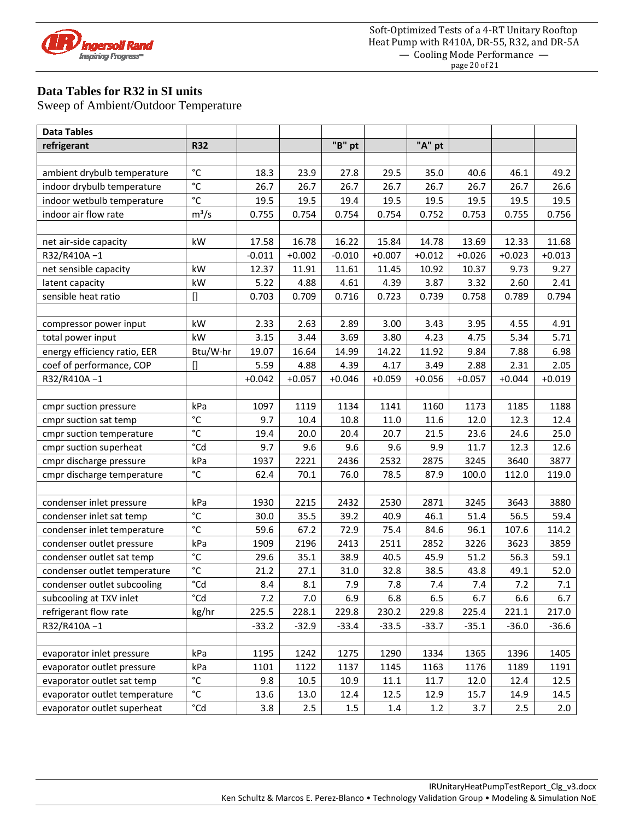

### **Data Tables for R32 in SI units**

| <b>Data Tables</b>            |                                                                                                                                                                                          |          |          |          |          |          |          |          |          |
|-------------------------------|------------------------------------------------------------------------------------------------------------------------------------------------------------------------------------------|----------|----------|----------|----------|----------|----------|----------|----------|
| refrigerant                   | <b>R32</b>                                                                                                                                                                               |          |          | "B" pt   |          | "A" pt   |          |          |          |
|                               |                                                                                                                                                                                          |          |          |          |          |          |          |          |          |
| ambient drybulb temperature   | $^{\circ}$ C                                                                                                                                                                             | 18.3     | 23.9     | 27.8     | 29.5     | 35.0     | 40.6     | 46.1     | 49.2     |
| indoor drybulb temperature    | $^{\circ}$ C                                                                                                                                                                             | 26.7     | 26.7     | 26.7     | 26.7     | 26.7     | 26.7     | 26.7     | 26.6     |
| indoor wetbulb temperature    | $\rm ^{\circ}C$                                                                                                                                                                          | 19.5     | 19.5     | 19.4     | 19.5     | 19.5     | 19.5     | 19.5     | 19.5     |
| indoor air flow rate          | $m^3/s$                                                                                                                                                                                  | 0.755    | 0.754    | 0.754    | 0.754    | 0.752    | 0.753    | 0.755    | 0.756    |
|                               |                                                                                                                                                                                          |          |          |          |          |          |          |          |          |
| net air-side capacity         | kW                                                                                                                                                                                       | 17.58    | 16.78    | 16.22    | 15.84    | 14.78    | 13.69    | 12.33    | 11.68    |
| R32/R410A-1                   |                                                                                                                                                                                          | $-0.011$ | $+0.002$ | $-0.010$ | $+0.007$ | $+0.012$ | $+0.026$ | $+0.023$ | $+0.013$ |
| net sensible capacity         | kW                                                                                                                                                                                       | 12.37    | 11.91    | 11.61    | 11.45    | 10.92    | 10.37    | 9.73     | 9.27     |
| latent capacity               | kW                                                                                                                                                                                       | 5.22     | 4.88     | 4.61     | 4.39     | 3.87     | 3.32     | 2.60     | 2.41     |
| sensible heat ratio           | $[] \centering \includegraphics[width=0.47\textwidth]{images/TrDiS-Architecture.png} \caption{The 3D (top) and 4D (bottom) are shown in the left and right.} \label{TrDiS-Architecture}$ | 0.703    | 0.709    | 0.716    | 0.723    | 0.739    | 0.758    | 0.789    | 0.794    |
|                               |                                                                                                                                                                                          |          |          |          |          |          |          |          |          |
| compressor power input        | kW                                                                                                                                                                                       | 2.33     | 2.63     | 2.89     | 3.00     | 3.43     | 3.95     | 4.55     | 4.91     |
| total power input             | kW                                                                                                                                                                                       | 3.15     | 3.44     | 3.69     | 3.80     | 4.23     | 4.75     | 5.34     | 5.71     |
| energy efficiency ratio, EER  | Btu/W·hr                                                                                                                                                                                 | 19.07    | 16.64    | 14.99    | 14.22    | 11.92    | 9.84     | 7.88     | 6.98     |
| coef of performance, COP      | []                                                                                                                                                                                       | 5.59     | 4.88     | 4.39     | 4.17     | 3.49     | 2.88     | 2.31     | 2.05     |
| R32/R410A-1                   |                                                                                                                                                                                          | $+0.042$ | $+0.057$ | $+0.046$ | $+0.059$ | $+0.056$ | $+0.057$ | $+0.044$ | $+0.019$ |
|                               |                                                                                                                                                                                          |          |          |          |          |          |          |          |          |
| cmpr suction pressure         | kPa                                                                                                                                                                                      | 1097     | 1119     | 1134     | 1141     | 1160     | 1173     | 1185     | 1188     |
| cmpr suction sat temp         | °C                                                                                                                                                                                       | 9.7      | 10.4     | 10.8     | 11.0     | 11.6     | 12.0     | 12.3     | 12.4     |
| cmpr suction temperature      | $\rm ^{\circ}C$                                                                                                                                                                          | 19.4     | 20.0     | 20.4     | 20.7     | 21.5     | 23.6     | 24.6     | 25.0     |
| cmpr suction superheat        | °Cd                                                                                                                                                                                      | 9.7      | 9.6      | 9.6      | 9.6      | 9.9      | 11.7     | 12.3     | 12.6     |
| cmpr discharge pressure       | kPa                                                                                                                                                                                      | 1937     | 2221     | 2436     | 2532     | 2875     | 3245     | 3640     | 3877     |
| cmpr discharge temperature    | $^{\circ}$ C                                                                                                                                                                             | 62.4     | 70.1     | 76.0     | 78.5     | 87.9     | 100.0    | 112.0    | 119.0    |
|                               |                                                                                                                                                                                          |          |          |          |          |          |          |          |          |
| condenser inlet pressure      | kPa                                                                                                                                                                                      | 1930     | 2215     | 2432     | 2530     | 2871     | 3245     | 3643     | 3880     |
| condenser inlet sat temp      | $^{\circ}$ C                                                                                                                                                                             | 30.0     | 35.5     | 39.2     | 40.9     | 46.1     | 51.4     | 56.5     | 59.4     |
| condenser inlet temperature   | °C                                                                                                                                                                                       | 59.6     | 67.2     | 72.9     | 75.4     | 84.6     | 96.1     | 107.6    | 114.2    |
| condenser outlet pressure     | kPa                                                                                                                                                                                      | 1909     | 2196     | 2413     | 2511     | 2852     | 3226     | 3623     | 3859     |
| condenser outlet sat temp     | $^{\circ}$ C                                                                                                                                                                             | 29.6     | 35.1     | 38.9     | 40.5     | 45.9     | 51.2     | 56.3     | 59.1     |
| condenser outlet temperature  | $^{\circ}$ C                                                                                                                                                                             | 21.2     | 27.1     | 31.0     | 32.8     | 38.5     | 43.8     | 49.1     | 52.0     |
| condenser outlet subcooling   | $^{\circ}$ Cd                                                                                                                                                                            | 8.4      | 8.1      | 7.9      | 7.8      | 7.4      | 7.4      | 7.2      | 7.1      |
| subcooling at TXV inlet       | °Cd                                                                                                                                                                                      | 7.2      | 7.0      | 6.9      | 6.8      | 6.5      | 6.7      | 6.6      | 6.7      |
| refrigerant flow rate         | kg/hr                                                                                                                                                                                    | 225.5    | 228.1    | 229.8    | 230.2    | 229.8    | 225.4    | 221.1    | 217.0    |
| R32/R410A-1                   |                                                                                                                                                                                          | $-33.2$  | $-32.9$  | $-33.4$  | $-33.5$  | $-33.7$  | $-35.1$  | $-36.0$  | $-36.6$  |
|                               |                                                                                                                                                                                          |          |          |          |          |          |          |          |          |
| evaporator inlet pressure     | kPa                                                                                                                                                                                      | 1195     | 1242     | 1275     | 1290     | 1334     | 1365     | 1396     | 1405     |
| evaporator outlet pressure    | kPa                                                                                                                                                                                      | 1101     | 1122     | 1137     | 1145     | 1163     | 1176     | 1189     | 1191     |
| evaporator outlet sat temp    | °C                                                                                                                                                                                       | 9.8      | $10.5\,$ | 10.9     | 11.1     | 11.7     | 12.0     | 12.4     | 12.5     |
| evaporator outlet temperature | $^{\circ}$ C                                                                                                                                                                             | 13.6     | 13.0     | 12.4     | 12.5     | 12.9     | 15.7     | 14.9     | 14.5     |
| evaporator outlet superheat   | $^{\circ}\mathsf{Cd}$                                                                                                                                                                    | 3.8      | $2.5\,$  | $1.5\,$  | 1.4      | 1.2      | 3.7      | 2.5      | 2.0      |